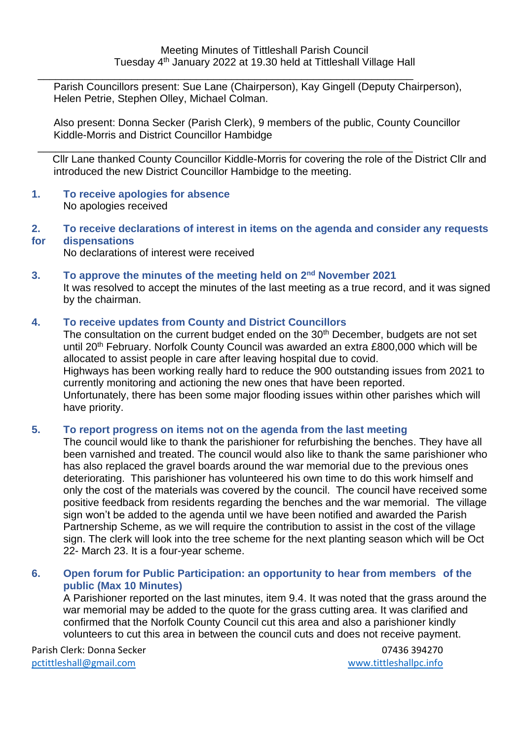$\frac{1}{2}$  ,  $\frac{1}{2}$  ,  $\frac{1}{2}$  ,  $\frac{1}{2}$  ,  $\frac{1}{2}$  ,  $\frac{1}{2}$  ,  $\frac{1}{2}$  ,  $\frac{1}{2}$  ,  $\frac{1}{2}$  ,  $\frac{1}{2}$  ,  $\frac{1}{2}$  ,  $\frac{1}{2}$  ,  $\frac{1}{2}$  ,  $\frac{1}{2}$  ,  $\frac{1}{2}$  ,  $\frac{1}{2}$  ,  $\frac{1}{2}$  ,  $\frac{1}{2}$  ,  $\frac{1$ Parish Councillors present: Sue Lane (Chairperson), Kay Gingell (Deputy Chairperson), Helen Petrie, Stephen Olley, Michael Colman.

Also present: Donna Secker (Parish Clerk), 9 members of the public, County Councillor Kiddle-Morris and District Councillor Hambidge

\_\_\_\_\_\_\_\_\_\_\_\_\_\_\_\_\_\_\_\_\_\_\_\_\_\_\_\_\_\_\_\_\_\_\_\_\_\_\_\_\_\_\_\_\_\_\_\_\_\_\_\_\_\_\_\_\_\_\_\_\_\_\_\_ Cllr Lane thanked County Councillor Kiddle-Morris for covering the role of the District Cllr and introduced the new District Councillor Hambidge to the meeting.

- **1. To receive apologies for absence** No apologies received
- **2. To receive declarations of interest in items on the agenda and consider any requests for dispensations**

No declarations of interest were received

**3. To approve the minutes of the meeting held on 2 nd November 2021** It was resolved to accept the minutes of the last meeting as a true record, and it was signed by the chairman.

#### **4. To receive updates from County and District Councillors**

The consultation on the current budget ended on the 30<sup>th</sup> December, budgets are not set until 20<sup>th</sup> February. Norfolk County Council was awarded an extra £800,000 which will be allocated to assist people in care after leaving hospital due to covid.

Highways has been working really hard to reduce the 900 outstanding issues from 2021 to currently monitoring and actioning the new ones that have been reported. Unfortunately, there has been some major flooding issues within other parishes which will

have priority.

#### **5. To report progress on items not on the agenda from the last meeting**

The council would like to thank the parishioner for refurbishing the benches. They have all been varnished and treated. The council would also like to thank the same parishioner who has also replaced the gravel boards around the war memorial due to the previous ones deteriorating. This parishioner has volunteered his own time to do this work himself and only the cost of the materials was covered by the council. The council have received some positive feedback from residents regarding the benches and the war memorial. The village sign won't be added to the agenda until we have been notified and awarded the Parish Partnership Scheme, as we will require the contribution to assist in the cost of the village sign. The clerk will look into the tree scheme for the next planting season which will be Oct 22- March 23. It is a four-year scheme.

**6. Open forum for Public Participation: an opportunity to hear from members of the public (Max 10 Minutes)** 

A Parishioner reported on the last minutes, item 9.4. It was noted that the grass around the war memorial may be added to the quote for the grass cutting area. It was clarified and confirmed that the Norfolk County Council cut this area and also a parishioner kindly volunteers to cut this area in between the council cuts and does not receive payment.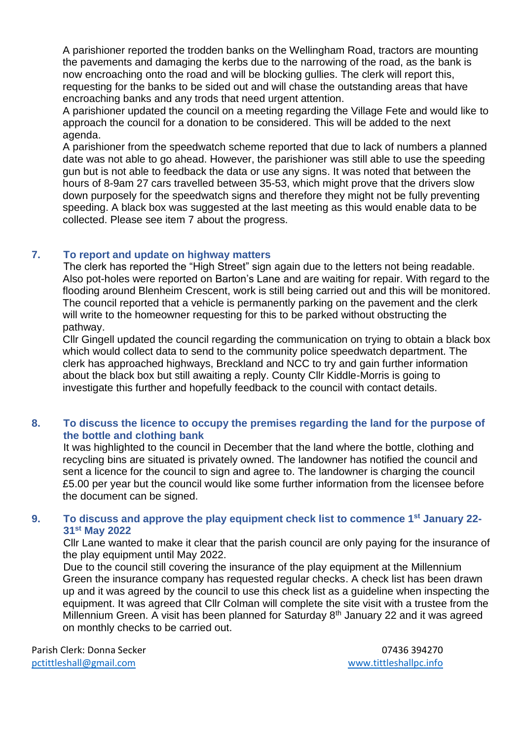A parishioner reported the trodden banks on the Wellingham Road, tractors are mounting the pavements and damaging the kerbs due to the narrowing of the road, as the bank is now encroaching onto the road and will be blocking gullies. The clerk will report this, requesting for the banks to be sided out and will chase the outstanding areas that have encroaching banks and any trods that need urgent attention.

A parishioner updated the council on a meeting regarding the Village Fete and would like to approach the council for a donation to be considered. This will be added to the next agenda.

A parishioner from the speedwatch scheme reported that due to lack of numbers a planned date was not able to go ahead. However, the parishioner was still able to use the speeding gun but is not able to feedback the data or use any signs. It was noted that between the hours of 8-9am 27 cars travelled between 35-53, which might prove that the drivers slow down purposely for the speedwatch signs and therefore they might not be fully preventing speeding. A black box was suggested at the last meeting as this would enable data to be collected. Please see item 7 about the progress.

### **7. To report and update on highway matters**

The clerk has reported the "High Street" sign again due to the letters not being readable. Also pot-holes were reported on Barton's Lane and are waiting for repair. With regard to the flooding around Blenheim Crescent, work is still being carried out and this will be monitored. The council reported that a vehicle is permanently parking on the pavement and the clerk will write to the homeowner requesting for this to be parked without obstructing the pathway.

Cllr Gingell updated the council regarding the communication on trying to obtain a black box which would collect data to send to the community police speedwatch department. The clerk has approached highways, Breckland and NCC to try and gain further information about the black box but still awaiting a reply. County Cllr Kiddle-Morris is going to investigate this further and hopefully feedback to the council with contact details.

### **8. To discuss the licence to occupy the premises regarding the land for the purpose of the bottle and clothing bank**

It was highlighted to the council in December that the land where the bottle, clothing and recycling bins are situated is privately owned. The landowner has notified the council and sent a licence for the council to sign and agree to. The landowner is charging the council £5.00 per year but the council would like some further information from the licensee before the document can be signed.

#### **9. To discuss and approve the play equipment check list to commence 1st January 22- 31st May 2022**

Cllr Lane wanted to make it clear that the parish council are only paying for the insurance of the play equipment until May 2022.

Due to the council still covering the insurance of the play equipment at the Millennium Green the insurance company has requested regular checks. A check list has been drawn up and it was agreed by the council to use this check list as a guideline when inspecting the equipment. It was agreed that Cllr Colman will complete the site visit with a trustee from the Millennium Green. A visit has been planned for Saturday  $8<sup>th</sup>$  January 22 and it was agreed on monthly checks to be carried out.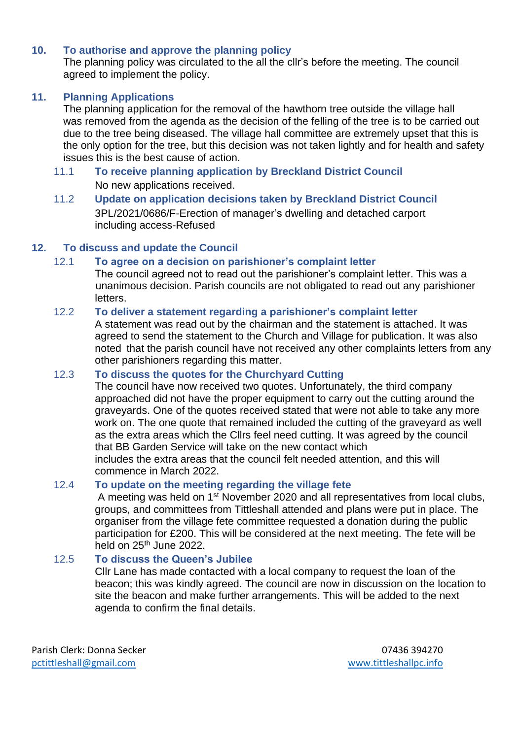#### **10. To authorise and approve the planning policy**

The planning policy was circulated to the all the cllr's before the meeting. The council agreed to implement the policy.

#### **11. Planning Applications**

The planning application for the removal of the hawthorn tree outside the village hall was removed from the agenda as the decision of the felling of the tree is to be carried out due to the tree being diseased. The village hall committee are extremely upset that this is the only option for the tree, but this decision was not taken lightly and for health and safety issues this is the best cause of action.

- 11.1 **To receive planning application by Breckland District Council**  No new applications received.
- 11.2 **Update on application decisions taken by Breckland District Council**  3PL/2021/0686/F-Erection of manager's dwelling and detached carport including access-Refused

### **12. To discuss and update the Council**

### 12.1 **To agree on a decision on parishioner's complaint letter**

The council agreed not to read out the parishioner's complaint letter. This was a unanimous decision. Parish councils are not obligated to read out any parishioner letters.

### 12.2 **To deliver a statement regarding a parishioner's complaint letter**

A statement was read out by the chairman and the statement is attached. It was agreed to send the statement to the Church and Village for publication. It was also noted that the parish council have not received any other complaints letters from any other parishioners regarding this matter.

#### 12.3 **To discuss the quotes for the Churchyard Cutting**

The council have now received two quotes. Unfortunately, the third company approached did not have the proper equipment to carry out the cutting around the graveyards. One of the quotes received stated that were not able to take any more work on. The one quote that remained included the cutting of the graveyard as well as the extra areas which the Cllrs feel need cutting. It was agreed by the council that BB Garden Service will take on the new contact which includes the extra areas that the council felt needed attention, and this will

commence in March 2022.

# 12.4 **To update on the meeting regarding the village fete**

A meeting was held on 1<sup>st</sup> November 2020 and all representatives from local clubs, groups, and committees from Tittleshall attended and plans were put in place. The organiser from the village fete committee requested a donation during the public participation for £200. This will be considered at the next meeting. The fete will be held on 25<sup>th</sup> June 2022.

#### 12.5 **To discuss the Queen's Jubilee**

Cllr Lane has made contacted with a local company to request the loan of the beacon; this was kindly agreed. The council are now in discussion on the location to site the beacon and make further arrangements. This will be added to the next agenda to confirm the final details.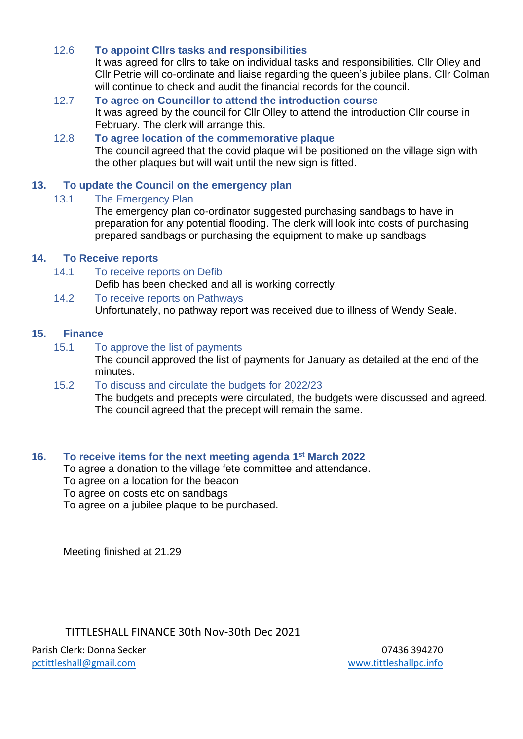### 12.6 **To appoint Cllrs tasks and responsibilities**

It was agreed for cllrs to take on individual tasks and responsibilities. Cllr Olley and Cllr Petrie will co-ordinate and liaise regarding the queen's jubilee plans. Cllr Colman will continue to check and audit the financial records for the council.

### 12.7 **To agree on Councillor to attend the introduction course** It was agreed by the council for Cllr Olley to attend the introduction Cllr course in February. The clerk will arrange this.

## 12.8 **To agree location of the commemorative plaque** The council agreed that the covid plaque will be positioned on the village sign with the other plaques but will wait until the new sign is fitted.

#### **13. To update the Council on the emergency plan**

### 13.1 The Emergency Plan

The emergency plan co-ordinator suggested purchasing sandbags to have in preparation for any potential flooding. The clerk will look into costs of purchasing prepared sandbags or purchasing the equipment to make up sandbags

### **14. To Receive reports**

- 14.1 To receive reports on Defib Defib has been checked and all is working correctly.
- 14.2 To receive reports on Pathways Unfortunately, no pathway report was received due to illness of Wendy Seale.

#### **15. Finance**

15.1 To approve the list of payments

The council approved the list of payments for January as detailed at the end of the minutes.

#### 15.2 To discuss and circulate the budgets for 2022/23

The budgets and precepts were circulated, the budgets were discussed and agreed. The council agreed that the precept will remain the same.

# **16. To receive items for the next meeting agenda 1 st March 2022**

To agree a donation to the village fete committee and attendance.

- To agree on a location for the beacon
- To agree on costs etc on sandbags

To agree on a jubilee plaque to be purchased.

Meeting finished at 21.29

# TITTLESHALL FINANCE 30th Nov-30th Dec 2021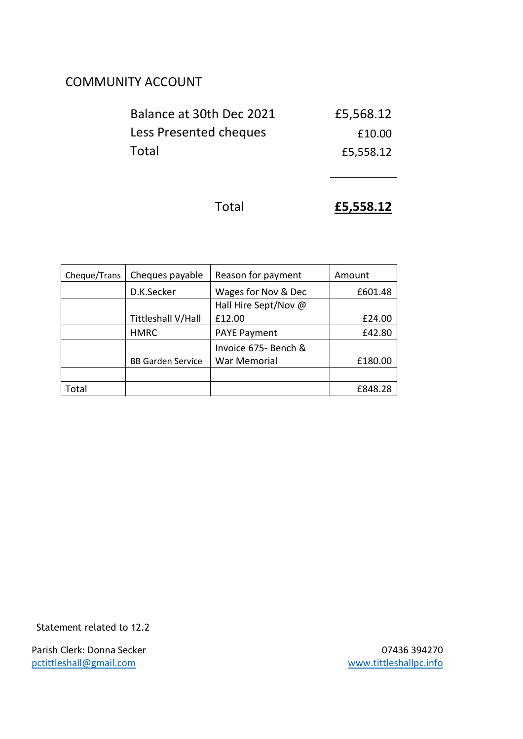# COMMUNITY ACCOUNT

| Balance at 30th Dec 2021 | £5,568.12 |
|--------------------------|-----------|
| Less Presented cheques   | £10.00    |
| Total                    | £5,558.12 |

```
Total £5,558.12
```

| Cheque/Trans | Cheques payable          | Reason for payment     | Amount  |
|--------------|--------------------------|------------------------|---------|
|              | D.K.Secker               | Wages for Nov & Dec    | £601.48 |
|              |                          | Hall Hire Sept/Nov $@$ |         |
|              | Tittleshall V/Hall       | £12.00                 | £24.00  |
|              | <b>HMRC</b>              | <b>PAYE Payment</b>    | £42.80  |
|              |                          | Invoice 675- Bench &   |         |
|              | <b>BB Garden Service</b> | War Memorial           | £180.00 |
|              |                          |                        |         |
| Total        |                          |                        | £848.28 |

Statement related to 12.2